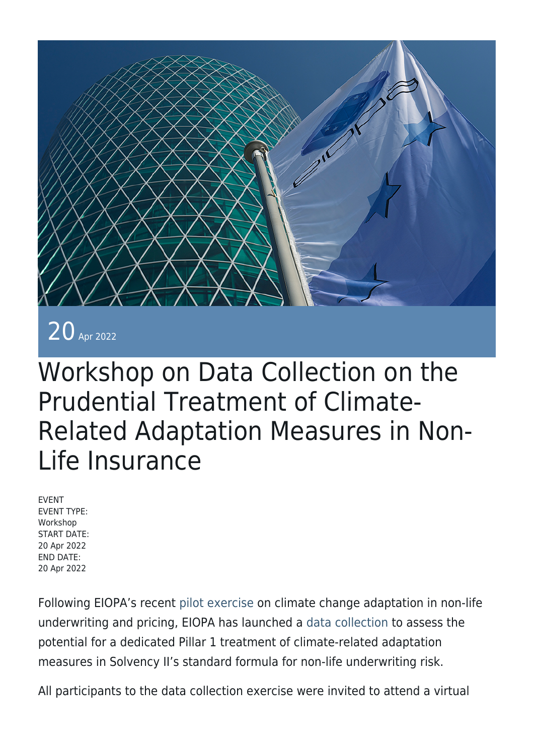

20 Apr 2022

## Workshop on Data Collection on the Prudential Treatment of Climate-Related Adaptation Measures in Non-Life Insurance

EVENT EVENT TYPE: Workshop START DATE: 20 Apr 2022 END DATE: 20 Apr 2022

Following EIOPA's recent [pilot exercise](https://www.eiopa.europa.eu/document-library/feedback-request/pilot-exercise-climate-change-adaptation-non-life-underwriting-and) on climate change adaptation in non-life underwriting and pricing, EIOPA has launched a [data collection](https://www.eiopa.europa.eu/document-library/feedback-request/data-collection-prudential-treatment-of-climate-related-adaptation_en) to assess the potential for a dedicated Pillar 1 treatment of climate-related adaptation measures in Solvency II's standard formula for non-life underwriting risk.

All participants to the data collection exercise were invited to attend a virtual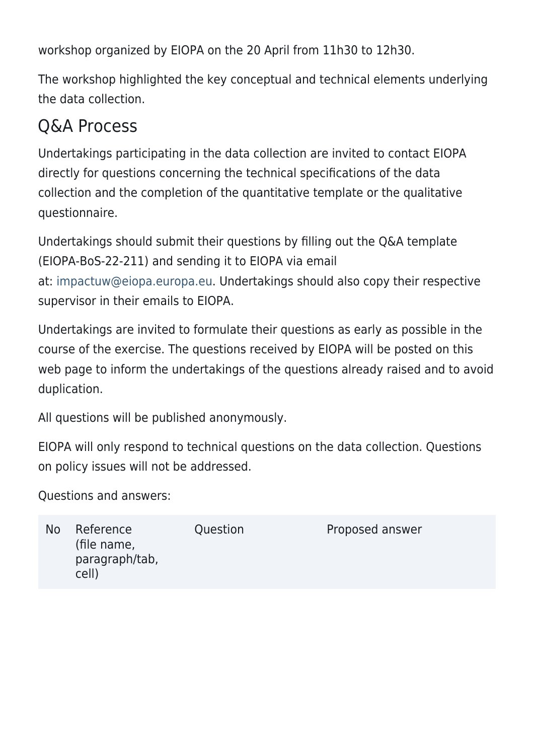workshop organized by EIOPA on the 20 April from 11h30 to 12h30.

The workshop highlighted the key conceptual and technical elements underlying the data collection.

## Q&A Process

Undertakings participating in the data collection are invited to contact EIOPA directly for questions concerning the technical specifications of the data collection and the completion of the quantitative template or the qualitative questionnaire.

Undertakings should submit their questions by filling out the Q&A template (EIOPA-BoS-22-211) and sending it to EIOPA via email at: [impactuw@eiopa.europa.eu.](mailto:impactuw@eiopa.europa.eu) Undertakings should also copy their respective supervisor in their emails to EIOPA.

Undertakings are invited to formulate their questions as early as possible in the course of the exercise. The questions received by EIOPA will be posted on this web page to inform the undertakings of the questions already raised and to avoid duplication.

All questions will be published anonymously.

EIOPA will only respond to technical questions on the data collection. Questions on policy issues will not be addressed.

Questions and answers:

| N <sub>o</sub> | Reference<br>(file name,<br>paragraph/tab,<br>cell) | Question | Proposed answer |
|----------------|-----------------------------------------------------|----------|-----------------|
|                |                                                     |          |                 |